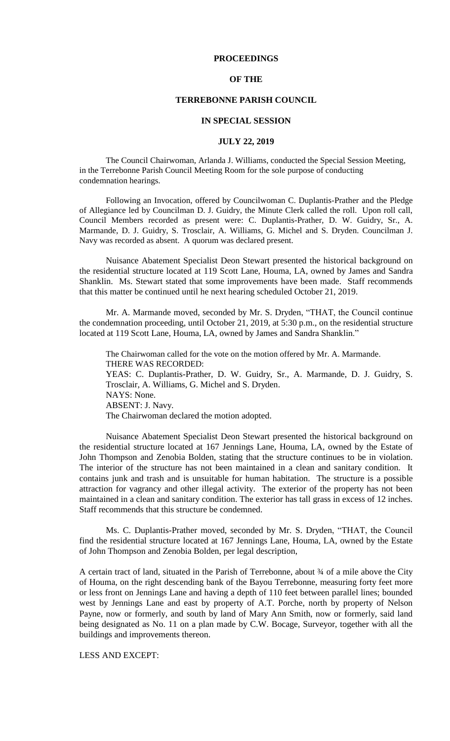## **PROCEEDINGS**

## **OF THE**

# **TERREBONNE PARISH COUNCIL**

#### **IN SPECIAL SESSION**

### **JULY 22, 2019**

The Council Chairwoman, Arlanda J. Williams, conducted the Special Session Meeting, in the Terrebonne Parish Council Meeting Room for the sole purpose of conducting condemnation hearings.

Following an Invocation, offered by Councilwoman C. Duplantis-Prather and the Pledge of Allegiance led by Councilman D. J. Guidry, the Minute Clerk called the roll. Upon roll call, Council Members recorded as present were: C. Duplantis-Prather, D. W. Guidry, Sr., A. Marmande, D. J. Guidry, S. Trosclair, A. Williams, G. Michel and S. Dryden. Councilman J. Navy was recorded as absent. A quorum was declared present.

Nuisance Abatement Specialist Deon Stewart presented the historical background on the residential structure located at 119 Scott Lane, Houma, LA, owned by James and Sandra Shanklin. Ms. Stewart stated that some improvements have been made. Staff recommends that this matter be continued until he next hearing scheduled October 21, 2019.

Mr. A. Marmande moved, seconded by Mr. S. Dryden, "THAT, the Council continue the condemnation proceeding, until October 21, 2019, at 5:30 p.m., on the residential structure located at 119 Scott Lane, Houma, LA, owned by James and Sandra Shanklin."

The Chairwoman called for the vote on the motion offered by Mr. A. Marmande. THERE WAS RECORDED: YEAS: C. Duplantis-Prather, D. W. Guidry, Sr., A. Marmande, D. J. Guidry, S. Trosclair, A. Williams, G. Michel and S. Dryden. NAYS: None. ABSENT: J. Navy. The Chairwoman declared the motion adopted.

Nuisance Abatement Specialist Deon Stewart presented the historical background on the residential structure located at 167 Jennings Lane, Houma, LA, owned by the Estate of John Thompson and Zenobia Bolden, stating that the structure continues to be in violation. The interior of the structure has not been maintained in a clean and sanitary condition. It contains junk and trash and is unsuitable for human habitation. The structure is a possible attraction for vagrancy and other illegal activity. The exterior of the property has not been maintained in a clean and sanitary condition. The exterior has tall grass in excess of 12 inches. Staff recommends that this structure be condemned.

Ms. C. Duplantis-Prather moved, seconded by Mr. S. Dryden, "THAT, the Council find the residential structure located at 167 Jennings Lane, Houma, LA, owned by the Estate of John Thompson and Zenobia Bolden, per legal description,

A certain tract of land, situated in the Parish of Terrebonne, about ¾ of a mile above the City of Houma, on the right descending bank of the Bayou Terrebonne, measuring forty feet more or less front on Jennings Lane and having a depth of 110 feet between parallel lines; bounded west by Jennings Lane and east by property of A.T. Porche, north by property of Nelson Payne, now or formerly, and south by land of Mary Ann Smith, now or formerly, said land being designated as No. 11 on a plan made by C.W. Bocage, Surveyor, together with all the buildings and improvements thereon.

LESS AND EXCEPT: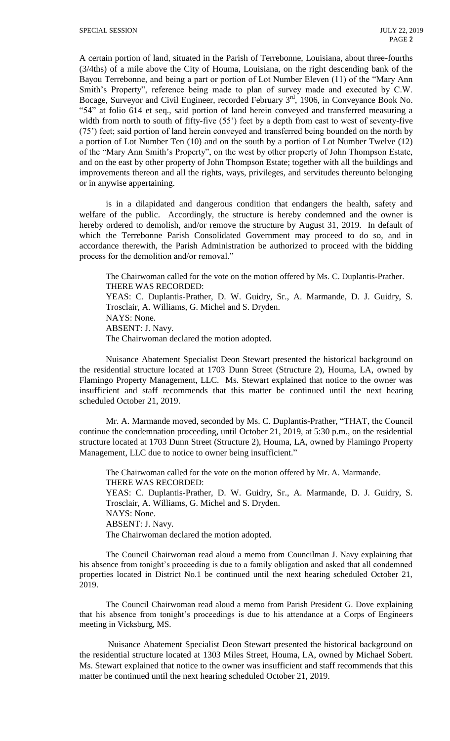A certain portion of land, situated in the Parish of Terrebonne, Louisiana, about three-fourths (3/4ths) of a mile above the City of Houma, Louisiana, on the right descending bank of the Bayou Terrebonne, and being a part or portion of Lot Number Eleven (11) of the "Mary Ann Smith's Property", reference being made to plan of survey made and executed by C.W. Bocage, Surveyor and Civil Engineer, recorded February  $3<sup>rd</sup>$ , 1906, in Conveyance Book No. "54" at folio 614 et seq., said portion of land herein conveyed and transferred measuring a width from north to south of fifty-five (55<sup>o</sup>) feet by a depth from east to west of seventy-five (75') feet; said portion of land herein conveyed and transferred being bounded on the north by a portion of Lot Number Ten (10) and on the south by a portion of Lot Number Twelve (12) of the "Mary Ann Smith's Property", on the west by other property of John Thompson Estate, and on the east by other property of John Thompson Estate; together with all the buildings and improvements thereon and all the rights, ways, privileges, and servitudes thereunto belonging or in anywise appertaining.

is in a dilapidated and dangerous condition that endangers the health, safety and welfare of the public. Accordingly, the structure is hereby condemned and the owner is hereby ordered to demolish, and/or remove the structure by August 31, 2019. In default of which the Terrebonne Parish Consolidated Government may proceed to do so, and in accordance therewith, the Parish Administration be authorized to proceed with the bidding process for the demolition and/or removal."

The Chairwoman called for the vote on the motion offered by Ms. C. Duplantis-Prather. THERE WAS RECORDED: YEAS: C. Duplantis-Prather, D. W. Guidry, Sr., A. Marmande, D. J. Guidry, S. Trosclair, A. Williams, G. Michel and S. Dryden. NAYS: None. ABSENT: J. Navy. The Chairwoman declared the motion adopted.

Nuisance Abatement Specialist Deon Stewart presented the historical background on the residential structure located at 1703 Dunn Street (Structure 2), Houma, LA, owned by Flamingo Property Management, LLC. Ms. Stewart explained that notice to the owner was insufficient and staff recommends that this matter be continued until the next hearing scheduled October 21, 2019.

Mr. A. Marmande moved, seconded by Ms. C. Duplantis-Prather, "THAT, the Council continue the condemnation proceeding, until October 21, 2019, at 5:30 p.m., on the residential structure located at 1703 Dunn Street (Structure 2), Houma, LA, owned by Flamingo Property Management, LLC due to notice to owner being insufficient."

The Chairwoman called for the vote on the motion offered by Mr. A. Marmande. THERE WAS RECORDED: YEAS: C. Duplantis-Prather, D. W. Guidry, Sr., A. Marmande, D. J. Guidry, S. Trosclair, A. Williams, G. Michel and S. Dryden. NAYS: None. ABSENT: J. Navy. The Chairwoman declared the motion adopted.

The Council Chairwoman read aloud a memo from Councilman J. Navy explaining that his absence from tonight's proceeding is due to a family obligation and asked that all condemned properties located in District No.1 be continued until the next hearing scheduled October 21, 2019.

The Council Chairwoman read aloud a memo from Parish President G. Dove explaining that his absence from tonight's proceedings is due to his attendance at a Corps of Engineers meeting in Vicksburg, MS.

Nuisance Abatement Specialist Deon Stewart presented the historical background on the residential structure located at 1303 Miles Street, Houma, LA, owned by Michael Sobert. Ms. Stewart explained that notice to the owner was insufficient and staff recommends that this matter be continued until the next hearing scheduled October 21, 2019.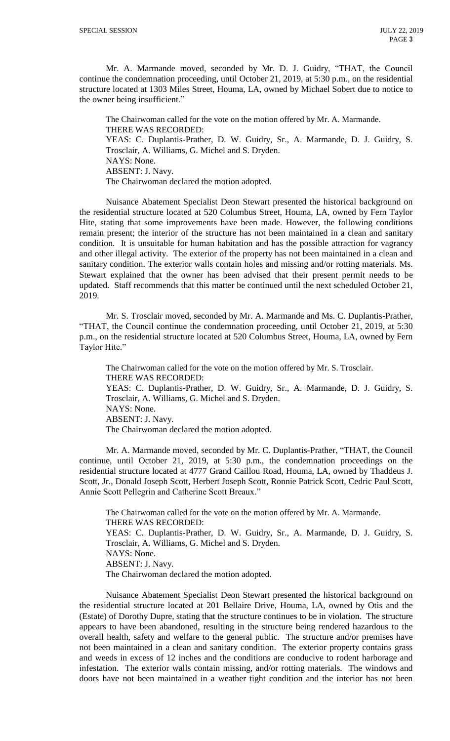Mr. A. Marmande moved, seconded by Mr. D. J. Guidry, "THAT, the Council continue the condemnation proceeding, until October 21, 2019, at 5:30 p.m., on the residential structure located at 1303 Miles Street, Houma, LA, owned by Michael Sobert due to notice to the owner being insufficient."

The Chairwoman called for the vote on the motion offered by Mr. A. Marmande. THERE WAS RECORDED: YEAS: C. Duplantis-Prather, D. W. Guidry, Sr., A. Marmande, D. J. Guidry, S. Trosclair, A. Williams, G. Michel and S. Dryden. NAYS: None. ABSENT: J. Navy. The Chairwoman declared the motion adopted.

Nuisance Abatement Specialist Deon Stewart presented the historical background on the residential structure located at 520 Columbus Street, Houma, LA, owned by Fern Taylor Hite, stating that some improvements have been made. However, the following conditions remain present; the interior of the structure has not been maintained in a clean and sanitary condition. It is unsuitable for human habitation and has the possible attraction for vagrancy and other illegal activity. The exterior of the property has not been maintained in a clean and sanitary condition. The exterior walls contain holes and missing and/or rotting materials. Ms. Stewart explained that the owner has been advised that their present permit needs to be updated. Staff recommends that this matter be continued until the next scheduled October 21, 2019.

Mr. S. Trosclair moved, seconded by Mr. A. Marmande and Ms. C. Duplantis-Prather, "THAT, the Council continue the condemnation proceeding, until October 21, 2019, at 5:30 p.m., on the residential structure located at 520 Columbus Street, Houma, LA, owned by Fern Taylor Hite."

The Chairwoman called for the vote on the motion offered by Mr. S. Trosclair. THERE WAS RECORDED: YEAS: C. Duplantis-Prather, D. W. Guidry, Sr., A. Marmande, D. J. Guidry, S. Trosclair, A. Williams, G. Michel and S. Dryden. NAYS: None. ABSENT: J. Navy. The Chairwoman declared the motion adopted.

Mr. A. Marmande moved, seconded by Mr. C. Duplantis-Prather, "THAT, the Council continue, until October 21, 2019, at 5:30 p.m., the condemnation proceedings on the residential structure located at 4777 Grand Caillou Road, Houma, LA, owned by Thaddeus J. Scott, Jr., Donald Joseph Scott, Herbert Joseph Scott, Ronnie Patrick Scott, Cedric Paul Scott, Annie Scott Pellegrin and Catherine Scott Breaux."

The Chairwoman called for the vote on the motion offered by Mr. A. Marmande. THERE WAS RECORDED: YEAS: C. Duplantis-Prather, D. W. Guidry, Sr., A. Marmande, D. J. Guidry, S. Trosclair, A. Williams, G. Michel and S. Dryden. NAYS: None. ABSENT: J. Navy. The Chairwoman declared the motion adopted.

Nuisance Abatement Specialist Deon Stewart presented the historical background on the residential structure located at 201 Bellaire Drive, Houma, LA, owned by Otis and the (Estate) of Dorothy Dupre, stating that the structure continues to be in violation. The structure appears to have been abandoned, resulting in the structure being rendered hazardous to the overall health, safety and welfare to the general public. The structure and/or premises have not been maintained in a clean and sanitary condition. The exterior property contains grass and weeds in excess of 12 inches and the conditions are conducive to rodent harborage and infestation. The exterior walls contain missing, and/or rotting materials. The windows and doors have not been maintained in a weather tight condition and the interior has not been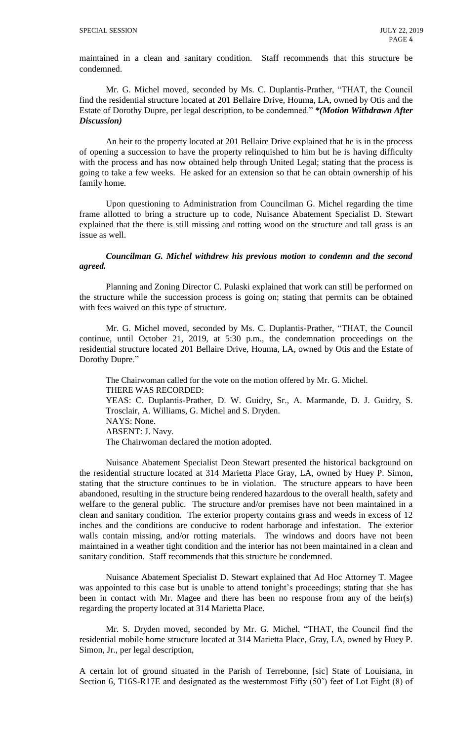maintained in a clean and sanitary condition. Staff recommends that this structure be condemned.

Mr. G. Michel moved, seconded by Ms. C. Duplantis-Prather, "THAT, the Council find the residential structure located at 201 Bellaire Drive, Houma, LA, owned by Otis and the Estate of Dorothy Dupre, per legal description, to be condemned." *\*(Motion Withdrawn After Discussion)*

An heir to the property located at 201 Bellaire Drive explained that he is in the process of opening a succession to have the property relinquished to him but he is having difficulty with the process and has now obtained help through United Legal; stating that the process is going to take a few weeks. He asked for an extension so that he can obtain ownership of his family home.

Upon questioning to Administration from Councilman G. Michel regarding the time frame allotted to bring a structure up to code, Nuisance Abatement Specialist D. Stewart explained that the there is still missing and rotting wood on the structure and tall grass is an issue as well.

*Councilman G. Michel withdrew his previous motion to condemn and the second agreed.*

Planning and Zoning Director C. Pulaski explained that work can still be performed on the structure while the succession process is going on; stating that permits can be obtained with fees waived on this type of structure.

Mr. G. Michel moved, seconded by Ms. C. Duplantis-Prather, "THAT, the Council continue, until October 21, 2019, at 5:30 p.m., the condemnation proceedings on the residential structure located 201 Bellaire Drive, Houma, LA, owned by Otis and the Estate of Dorothy Dupre."

The Chairwoman called for the vote on the motion offered by Mr. G. Michel. THERE WAS RECORDED: YEAS: C. Duplantis-Prather, D. W. Guidry, Sr., A. Marmande, D. J. Guidry, S. Trosclair, A. Williams, G. Michel and S. Dryden. NAYS: None. ABSENT: J. Navy. The Chairwoman declared the motion adopted.

Nuisance Abatement Specialist Deon Stewart presented the historical background on the residential structure located at 314 Marietta Place Gray, LA, owned by Huey P. Simon, stating that the structure continues to be in violation. The structure appears to have been abandoned, resulting in the structure being rendered hazardous to the overall health, safety and welfare to the general public. The structure and/or premises have not been maintained in a clean and sanitary condition. The exterior property contains grass and weeds in excess of 12 inches and the conditions are conducive to rodent harborage and infestation. The exterior walls contain missing, and/or rotting materials. The windows and doors have not been maintained in a weather tight condition and the interior has not been maintained in a clean and sanitary condition. Staff recommends that this structure be condemned.

Nuisance Abatement Specialist D. Stewart explained that Ad Hoc Attorney T. Magee was appointed to this case but is unable to attend tonight's proceedings; stating that she has been in contact with Mr. Magee and there has been no response from any of the heir(s) regarding the property located at 314 Marietta Place.

Mr. S. Dryden moved, seconded by Mr. G. Michel, "THAT, the Council find the residential mobile home structure located at 314 Marietta Place, Gray, LA, owned by Huey P. Simon, Jr., per legal description,

A certain lot of ground situated in the Parish of Terrebonne, [sic] State of Louisiana, in Section 6, T16S-R17E and designated as the westernmost Fifty (50') feet of Lot Eight (8) of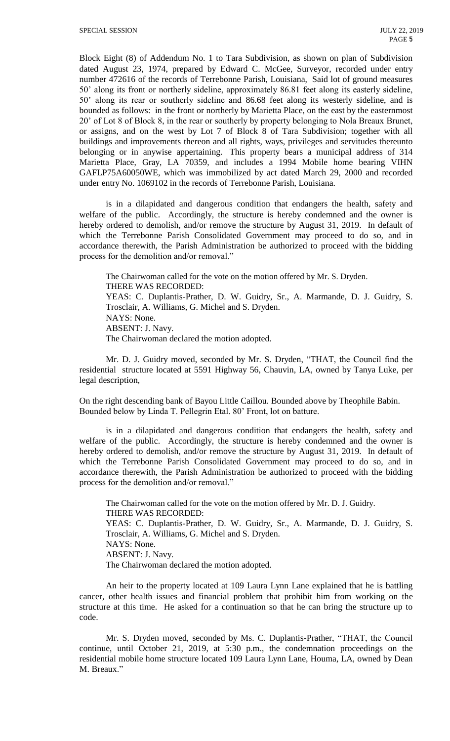Block Eight (8) of Addendum No. 1 to Tara Subdivision, as shown on plan of Subdivision dated August 23, 1974, prepared by Edward C. McGee, Surveyor, recorded under entry number 472616 of the records of Terrebonne Parish, Louisiana, Said lot of ground measures 50' along its front or northerly sideline, approximately 86.81 feet along its easterly sideline, 50' along its rear or southerly sideline and 86.68 feet along its westerly sideline, and is bounded as follows: in the front or northerly by Marietta Place, on the east by the easternmost 20' of Lot 8 of Block 8, in the rear or southerly by property belonging to Nola Breaux Brunet, or assigns, and on the west by Lot 7 of Block 8 of Tara Subdivision; together with all buildings and improvements thereon and all rights, ways, privileges and servitudes thereunto belonging or in anywise appertaining. This property bears a municipal address of 314 Marietta Place, Gray, LA 70359, and includes a 1994 Mobile home bearing VIHN GAFLP75A60050WE, which was immobilized by act dated March 29, 2000 and recorded under entry No. 1069102 in the records of Terrebonne Parish, Louisiana.

is in a dilapidated and dangerous condition that endangers the health, safety and welfare of the public. Accordingly, the structure is hereby condemned and the owner is hereby ordered to demolish, and/or remove the structure by August 31, 2019. In default of which the Terrebonne Parish Consolidated Government may proceed to do so, and in accordance therewith, the Parish Administration be authorized to proceed with the bidding process for the demolition and/or removal."

The Chairwoman called for the vote on the motion offered by Mr. S. Dryden. THERE WAS RECORDED: YEAS: C. Duplantis-Prather, D. W. Guidry, Sr., A. Marmande, D. J. Guidry, S. Trosclair, A. Williams, G. Michel and S. Dryden. NAYS: None. ABSENT: J. Navy. The Chairwoman declared the motion adopted.

Mr. D. J. Guidry moved, seconded by Mr. S. Dryden, "THAT, the Council find the residential structure located at 5591 Highway 56, Chauvin, LA, owned by Tanya Luke, per legal description,

On the right descending bank of Bayou Little Caillou. Bounded above by Theophile Babin. Bounded below by Linda T. Pellegrin Etal. 80' Front, lot on batture.

is in a dilapidated and dangerous condition that endangers the health, safety and welfare of the public. Accordingly, the structure is hereby condemned and the owner is hereby ordered to demolish, and/or remove the structure by August 31, 2019. In default of which the Terrebonne Parish Consolidated Government may proceed to do so, and in accordance therewith, the Parish Administration be authorized to proceed with the bidding process for the demolition and/or removal."

The Chairwoman called for the vote on the motion offered by Mr. D. J. Guidry. THERE WAS RECORDED: YEAS: C. Duplantis-Prather, D. W. Guidry, Sr., A. Marmande, D. J. Guidry, S. Trosclair, A. Williams, G. Michel and S. Dryden. NAYS: None. ABSENT: J. Navy. The Chairwoman declared the motion adopted.

An heir to the property located at 109 Laura Lynn Lane explained that he is battling cancer, other health issues and financial problem that prohibit him from working on the structure at this time. He asked for a continuation so that he can bring the structure up to code.

Mr. S. Dryden moved, seconded by Ms. C. Duplantis-Prather, "THAT, the Council continue, until October 21, 2019, at 5:30 p.m., the condemnation proceedings on the residential mobile home structure located 109 Laura Lynn Lane, Houma, LA, owned by Dean M. Breaux."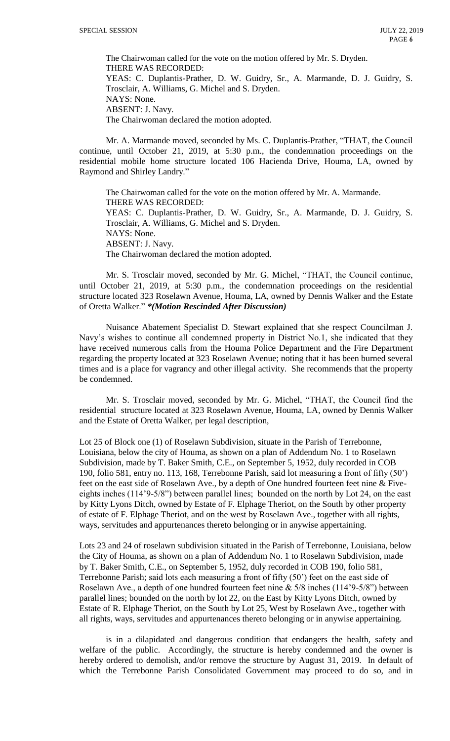The Chairwoman called for the vote on the motion offered by Mr. S. Dryden. THERE WAS RECORDED: YEAS: C. Duplantis-Prather, D. W. Guidry, Sr., A. Marmande, D. J. Guidry, S. Trosclair, A. Williams, G. Michel and S. Dryden. NAYS: None. ABSENT: J. Navy. The Chairwoman declared the motion adopted.

Mr. A. Marmande moved, seconded by Ms. C. Duplantis-Prather, "THAT, the Council continue, until October 21, 2019, at 5:30 p.m., the condemnation proceedings on the residential mobile home structure located 106 Hacienda Drive, Houma, LA, owned by Raymond and Shirley Landry."

The Chairwoman called for the vote on the motion offered by Mr. A. Marmande. THERE WAS RECORDED: YEAS: C. Duplantis-Prather, D. W. Guidry, Sr., A. Marmande, D. J. Guidry, S. Trosclair, A. Williams, G. Michel and S. Dryden. NAYS: None. ABSENT: J. Navy. The Chairwoman declared the motion adopted.

Mr. S. Trosclair moved, seconded by Mr. G. Michel, "THAT, the Council continue, until October 21, 2019, at 5:30 p.m., the condemnation proceedings on the residential structure located 323 Roselawn Avenue, Houma, LA, owned by Dennis Walker and the Estate of Oretta Walker." *\*(Motion Rescinded After Discussion)*

Nuisance Abatement Specialist D. Stewart explained that she respect Councilman J. Navy's wishes to continue all condemned property in District No.1, she indicated that they have received numerous calls from the Houma Police Department and the Fire Department regarding the property located at 323 Roselawn Avenue; noting that it has been burned several times and is a place for vagrancy and other illegal activity. She recommends that the property be condemned.

Mr. S. Trosclair moved, seconded by Mr. G. Michel, "THAT, the Council find the residential structure located at 323 Roselawn Avenue, Houma, LA, owned by Dennis Walker and the Estate of Oretta Walker, per legal description,

Lot 25 of Block one (1) of Roselawn Subdivision, situate in the Parish of Terrebonne, Louisiana, below the city of Houma, as shown on a plan of Addendum No. 1 to Roselawn Subdivision, made by T. Baker Smith, C.E., on September 5, 1952, duly recorded in COB 190, folio 581, entry no. 113, 168, Terrebonne Parish, said lot measuring a front of fifty (50') feet on the east side of Roselawn Ave., by a depth of One hundred fourteen feet nine & Fiveeights inches (114'9-5/8") between parallel lines; bounded on the north by Lot 24, on the east by Kitty Lyons Ditch, owned by Estate of F. Elphage Theriot, on the South by other property of estate of F. Elphage Theriot, and on the west by Roselawn Ave., together with all rights, ways, servitudes and appurtenances thereto belonging or in anywise appertaining.

Lots 23 and 24 of roselawn subdivision situated in the Parish of Terrebonne, Louisiana, below the City of Houma, as shown on a plan of Addendum No. 1 to Roselawn Subdivision, made by T. Baker Smith, C.E., on September 5, 1952, duly recorded in COB 190, folio 581, Terrebonne Parish; said lots each measuring a front of fifty (50') feet on the east side of Roselawn Ave., a depth of one hundred fourteen feet nine & 5/8 inches (114'9-5/8") between parallel lines; bounded on the north by lot 22, on the East by Kitty Lyons Ditch, owned by Estate of R. Elphage Theriot, on the South by Lot 25, West by Roselawn Ave., together with all rights, ways, servitudes and appurtenances thereto belonging or in anywise appertaining.

is in a dilapidated and dangerous condition that endangers the health, safety and welfare of the public. Accordingly, the structure is hereby condemned and the owner is hereby ordered to demolish, and/or remove the structure by August 31, 2019. In default of which the Terrebonne Parish Consolidated Government may proceed to do so, and in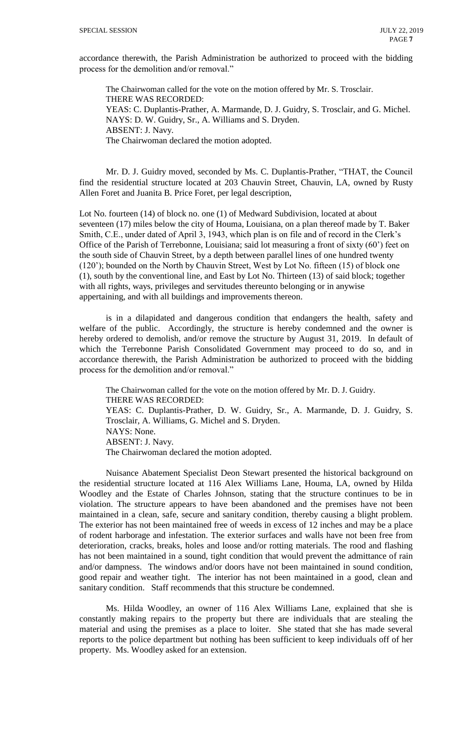accordance therewith, the Parish Administration be authorized to proceed with the bidding process for the demolition and/or removal."

The Chairwoman called for the vote on the motion offered by Mr. S. Trosclair. THERE WAS RECORDED: YEAS: C. Duplantis-Prather, A. Marmande, D. J. Guidry, S. Trosclair, and G. Michel. NAYS: D. W. Guidry, Sr., A. Williams and S. Dryden. ABSENT: J. Navy. The Chairwoman declared the motion adopted.

Mr. D. J. Guidry moved, seconded by Ms. C. Duplantis-Prather, "THAT, the Council find the residential structure located at 203 Chauvin Street, Chauvin, LA, owned by Rusty Allen Foret and Juanita B. Price Foret, per legal description,

Lot No. fourteen (14) of block no. one (1) of Medward Subdivision, located at about seventeen (17) miles below the city of Houma, Louisiana, on a plan thereof made by T. Baker Smith, C.E., under dated of April 3, 1943, which plan is on file and of record in the Clerk's Office of the Parish of Terrebonne, Louisiana; said lot measuring a front of sixty (60') feet on the south side of Chauvin Street, by a depth between parallel lines of one hundred twenty (120'); bounded on the North by Chauvin Street, West by Lot No. fifteen (15) of block one (1), south by the conventional line, and East by Lot No. Thirteen (13) of said block; together with all rights, ways, privileges and servitudes thereunto belonging or in anywise appertaining, and with all buildings and improvements thereon.

is in a dilapidated and dangerous condition that endangers the health, safety and welfare of the public. Accordingly, the structure is hereby condemned and the owner is hereby ordered to demolish, and/or remove the structure by August 31, 2019. In default of which the Terrebonne Parish Consolidated Government may proceed to do so, and in accordance therewith, the Parish Administration be authorized to proceed with the bidding process for the demolition and/or removal."

The Chairwoman called for the vote on the motion offered by Mr. D. J. Guidry. THERE WAS RECORDED: YEAS: C. Duplantis-Prather, D. W. Guidry, Sr., A. Marmande, D. J. Guidry, S. Trosclair, A. Williams, G. Michel and S. Dryden. NAYS: None. ABSENT: J. Navy. The Chairwoman declared the motion adopted.

Nuisance Abatement Specialist Deon Stewart presented the historical background on the residential structure located at 116 Alex Williams Lane, Houma, LA, owned by Hilda Woodley and the Estate of Charles Johnson, stating that the structure continues to be in violation. The structure appears to have been abandoned and the premises have not been maintained in a clean, safe, secure and sanitary condition, thereby causing a blight problem. The exterior has not been maintained free of weeds in excess of 12 inches and may be a place of rodent harborage and infestation. The exterior surfaces and walls have not been free from deterioration, cracks, breaks, holes and loose and/or rotting materials. The rood and flashing has not been maintained in a sound, tight condition that would prevent the admittance of rain and/or dampness. The windows and/or doors have not been maintained in sound condition, good repair and weather tight. The interior has not been maintained in a good, clean and sanitary condition. Staff recommends that this structure be condemned.

Ms. Hilda Woodley, an owner of 116 Alex Williams Lane, explained that she is constantly making repairs to the property but there are individuals that are stealing the material and using the premises as a place to loiter. She stated that she has made several reports to the police department but nothing has been sufficient to keep individuals off of her property. Ms. Woodley asked for an extension.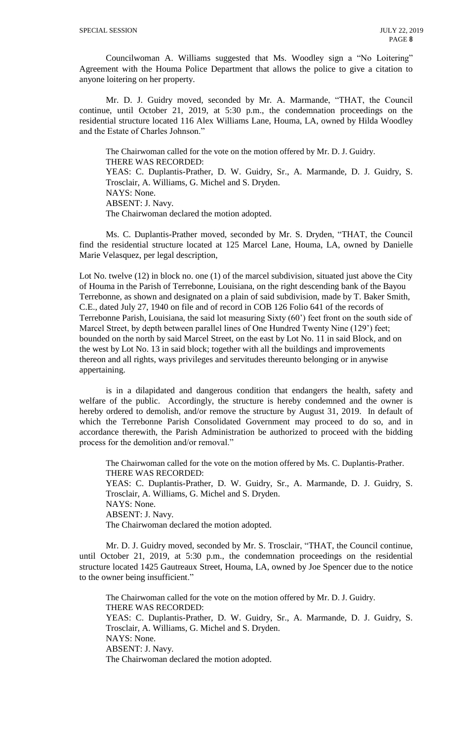Councilwoman A. Williams suggested that Ms. Woodley sign a "No Loitering" Agreement with the Houma Police Department that allows the police to give a citation to anyone loitering on her property.

Mr. D. J. Guidry moved, seconded by Mr. A. Marmande, "THAT, the Council continue, until October 21, 2019, at 5:30 p.m., the condemnation proceedings on the residential structure located 116 Alex Williams Lane, Houma, LA, owned by Hilda Woodley and the Estate of Charles Johnson."

The Chairwoman called for the vote on the motion offered by Mr. D. J. Guidry. THERE WAS RECORDED: YEAS: C. Duplantis-Prather, D. W. Guidry, Sr., A. Marmande, D. J. Guidry, S. Trosclair, A. Williams, G. Michel and S. Dryden. NAYS: None. ABSENT: J. Navy. The Chairwoman declared the motion adopted.

Ms. C. Duplantis-Prather moved, seconded by Mr. S. Dryden, "THAT, the Council find the residential structure located at 125 Marcel Lane, Houma, LA, owned by Danielle Marie Velasquez, per legal description,

Lot No. twelve (12) in block no. one (1) of the marcel subdivision, situated just above the City of Houma in the Parish of Terrebonne, Louisiana, on the right descending bank of the Bayou Terrebonne, as shown and designated on a plain of said subdivision, made by T. Baker Smith, C.E., dated July 27, 1940 on file and of record in COB 126 Folio 641 of the records of Terrebonne Parish, Louisiana, the said lot measuring Sixty (60') feet front on the south side of Marcel Street, by depth between parallel lines of One Hundred Twenty Nine (129') feet; bounded on the north by said Marcel Street, on the east by Lot No. 11 in said Block, and on the west by Lot No. 13 in said block; together with all the buildings and improvements thereon and all rights, ways privileges and servitudes thereunto belonging or in anywise appertaining.

is in a dilapidated and dangerous condition that endangers the health, safety and welfare of the public. Accordingly, the structure is hereby condemned and the owner is hereby ordered to demolish, and/or remove the structure by August 31, 2019. In default of which the Terrebonne Parish Consolidated Government may proceed to do so, and in accordance therewith, the Parish Administration be authorized to proceed with the bidding process for the demolition and/or removal."

The Chairwoman called for the vote on the motion offered by Ms. C. Duplantis-Prather. THERE WAS RECORDED: YEAS: C. Duplantis-Prather, D. W. Guidry, Sr., A. Marmande, D. J. Guidry, S. Trosclair, A. Williams, G. Michel and S. Dryden. NAYS: None. ABSENT: J. Navy. The Chairwoman declared the motion adopted.

Mr. D. J. Guidry moved, seconded by Mr. S. Trosclair, "THAT, the Council continue, until October 21, 2019, at 5:30 p.m., the condemnation proceedings on the residential structure located 1425 Gautreaux Street, Houma, LA, owned by Joe Spencer due to the notice to the owner being insufficient."

The Chairwoman called for the vote on the motion offered by Mr. D. J. Guidry. THERE WAS RECORDED: YEAS: C. Duplantis-Prather, D. W. Guidry, Sr., A. Marmande, D. J. Guidry, S. Trosclair, A. Williams, G. Michel and S. Dryden. NAYS: None. ABSENT: J. Navy. The Chairwoman declared the motion adopted.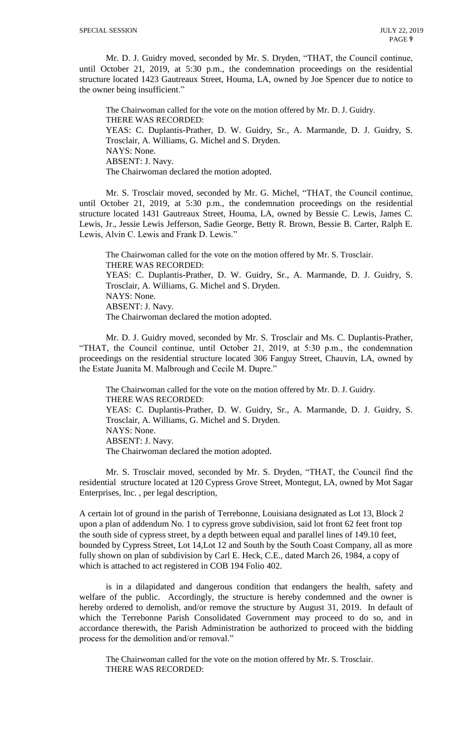Mr. D. J. Guidry moved, seconded by Mr. S. Dryden, "THAT, the Council continue, until October 21, 2019, at 5:30 p.m., the condemnation proceedings on the residential structure located 1423 Gautreaux Street, Houma, LA, owned by Joe Spencer due to notice to the owner being insufficient."

The Chairwoman called for the vote on the motion offered by Mr. D. J. Guidry. THERE WAS RECORDED: YEAS: C. Duplantis-Prather, D. W. Guidry, Sr., A. Marmande, D. J. Guidry, S. Trosclair, A. Williams, G. Michel and S. Dryden. NAYS: None. ABSENT: J. Navy. The Chairwoman declared the motion adopted.

Mr. S. Trosclair moved, seconded by Mr. G. Michel, "THAT, the Council continue, until October 21, 2019, at 5:30 p.m., the condemnation proceedings on the residential structure located 1431 Gautreaux Street, Houma, LA, owned by Bessie C. Lewis, James C. Lewis, Jr., Jessie Lewis Jefferson, Sadie George, Betty R. Brown, Bessie B. Carter, Ralph E. Lewis, Alvin C. Lewis and Frank D. Lewis."

The Chairwoman called for the vote on the motion offered by Mr. S. Trosclair. THERE WAS RECORDED: YEAS: C. Duplantis-Prather, D. W. Guidry, Sr., A. Marmande, D. J. Guidry, S. Trosclair, A. Williams, G. Michel and S. Dryden. NAYS: None. ABSENT: J. Navy. The Chairwoman declared the motion adopted.

Mr. D. J. Guidry moved, seconded by Mr. S. Trosclair and Ms. C. Duplantis-Prather, "THAT, the Council continue, until October 21, 2019, at 5:30 p.m., the condemnation proceedings on the residential structure located 306 Fanguy Street, Chauvin, LA, owned by the Estate Juanita M. Malbrough and Cecile M. Dupre."

The Chairwoman called for the vote on the motion offered by Mr. D. J. Guidry. THERE WAS RECORDED: YEAS: C. Duplantis-Prather, D. W. Guidry, Sr., A. Marmande, D. J. Guidry, S. Trosclair, A. Williams, G. Michel and S. Dryden. NAYS: None. ABSENT: J. Navy. The Chairwoman declared the motion adopted.

Mr. S. Trosclair moved, seconded by Mr. S. Dryden, "THAT, the Council find the residential structure located at 120 Cypress Grove Street, Montegut, LA, owned by Mot Sagar Enterprises, Inc. , per legal description,

A certain lot of ground in the parish of Terrebonne, Louisiana designated as Lot 13, Block 2 upon a plan of addendum No. 1 to cypress grove subdivision, said lot front 62 feet front top the south side of cypress street, by a depth between equal and parallel lines of 149.10 feet, bounded by Cypress Street, Lot 14,Lot 12 and South by the South Coast Company, all as more fully shown on plan of subdivision by Carl E. Heck, C.E., dated March 26, 1984, a copy of which is attached to act registered in COB 194 Folio 402.

is in a dilapidated and dangerous condition that endangers the health, safety and welfare of the public. Accordingly, the structure is hereby condemned and the owner is hereby ordered to demolish, and/or remove the structure by August 31, 2019. In default of which the Terrebonne Parish Consolidated Government may proceed to do so, and in accordance therewith, the Parish Administration be authorized to proceed with the bidding process for the demolition and/or removal."

The Chairwoman called for the vote on the motion offered by Mr. S. Trosclair. THERE WAS RECORDED: